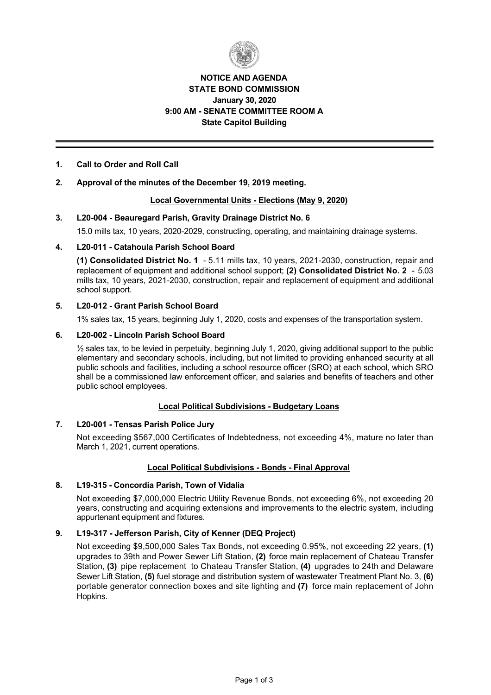

# **NOTICE AND AGENDA STATE BOND COMMISSION January 30, 2020 9:00 AM SENATE COMMITTEE ROOM A State Capitol Building**

## **1. Call to Order and Roll Call**

## **2. Approval of the minutes of the December 19, 2019 meeting.**

### **Local Governmental Units Elections (May 9, 2020)**

### **3. L20-004 - Beauregard Parish, Gravity Drainage District No. 6**

15.0 mills tax, 10 years, 2020-2029, constructing, operating, and maintaining drainage systems.

### 4. L20-011 - Catahoula Parish School Board

**(1) Consolidated District No. 1** - 5.11 mills tax, 10 years, 2021-2030, construction, repair and replacement of equipment and additional school support; **(2) Consolidated District No. 2**  5.03 mills tax, 10 years, 2021-2030, construction, repair and replacement of equipment and additional school support.

### **5. L20-012 - Grant Parish School Board**

1% sales tax, 15 years, beginning July 1, 2020, costs and expenses of the transportation system.

### 6. **L20-002 - Lincoln Parish School Board**

 $\frac{1}{2}$  sales tax, to be levied in perpetuity, beginning July 1, 2020, giving additional support to the public elementary and secondary schools, including, but not limited to providing enhanced security at all public schools and facilities, including a school resource officer (SRO) at each school, which SRO shall be a commissioned law enforcement officer, and salaries and benefits of teachers and other public school employees.

#### **Local Political Subdivisions - Budgetary Loans**

## 7. L20-001 - Tensas Parish Police Jury

Not exceeding \$567,000 Certificates of Indebtedness, not exceeding 4%, mature no later than March 1, 2021, current operations.

## **Local Political Subdivisions - Bonds - Final Approval**

## **8. L19315 Concordia Parish, Town of Vidalia**

Not exceeding \$7,000,000 Electric Utility Revenue Bonds, not exceeding 6%, not exceeding 20 years, constructing and acquiring extensions and improvements to the electric system, including appurtenant equipment and fixtures.

## **9. L19317 Jefferson Parish, City of Kenner (DEQ Project)**

Not exceeding \$9,500,000 Sales Tax Bonds, not exceeding 0.95%, not exceeding 22 years, **(1)** upgrades to 39th and Power Sewer Lift Station, **(2)** force main replacement of Chateau Transfer Station, **(3)** pipe replacement to Chateau Transfer Station, **(4)** upgrades to 24th and Delaware Sewer Lift Station, **(5)** fuel storage and distribution system of wastewater Treatment Plant No. 3, **(6)** portable generator connection boxes and site lighting and **(7)** force main replacement of John Hopkins.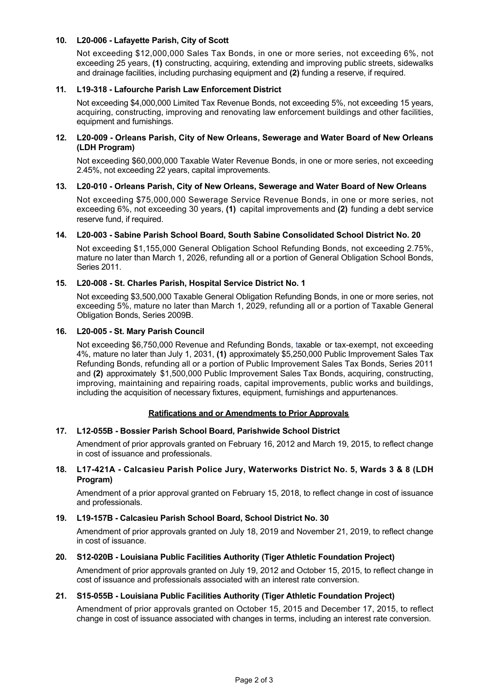## 10. L20-006 - Lafayette Parish, City of Scott

Not exceeding \$12,000,000 Sales Tax Bonds, in one or more series, not exceeding 6%, not exceeding 25 years, **(1)** constructing, acquiring, extending and improving public streets, sidewalks and drainage facilities, including purchasing equipment and **(2)** funding a reserve, if required.

## **11. L19318 Lafourche Parish Law Enforcement District**

Not exceeding \$4,000,000 Limited Tax Revenue Bonds, not exceeding 5%, not exceeding 15 years, acquiring, constructing, improving and renovating law enforcement buildings and other facilities, equipment and furnishings.

### 12. L20-009 - Orleans Parish, City of New Orleans, Sewerage and Water Board of New Orleans **(LDH Program)**

Not exceeding \$60,000,000 Taxable Water Revenue Bonds, in one or more series, not exceeding 2.45%, not exceeding 22 years, capital improvements.

### 13. L20-010 - Orleans Parish, City of New Orleans, Sewerage and Water Board of New Orleans

Not exceeding \$75,000,000 Sewerage Service Revenue Bonds, in one or more series, not exceeding 6%, not exceeding 30 years, **(1)** capital improvements and **(2)** funding a debt service reserve fund, if required.

#### 14. L20-003 - Sabine Parish School Board, South Sabine Consolidated School District No. 20

Not exceeding \$1,155,000 General Obligation School Refunding Bonds, not exceeding 2.75%, mature no later than March 1, 2026, refunding all or a portion of General Obligation School Bonds, Series 2011.

### 15. L20-008 - St. Charles Parish, Hospital Service District No. 1

Not exceeding \$3,500,000 Taxable General Obligation Refunding Bonds, in one or more series, not exceeding 5%, mature no later than March 1, 2029, refunding all or a portion of Taxable General Obligation Bonds, Series 2009B.

#### 16. L20-005 - St. Mary Parish Council

Not exceeding \$6,750,000 Revenue and Refunding Bonds, taxable or tax-exempt, not exceeding 4%, mature no later than July 1, 2031, **(1)** approximately \$5,250,000 Public Improvement Sales Tax Refunding Bonds, refunding all or a portion of Public Improvement Sales Tax Bonds, Series 2011 and **(2)** approximately \$1,500,000 Public Improvement Sales Tax Bonds, acquiring, constructing, improving, maintaining and repairing roads, capital improvements, public works and buildings, including the acquisition of necessary fixtures, equipment, furnishings and appurtenances.

## **Ratifications and or Amendments to Prior Approvals**

## **17. L12055B Bossier Parish School Board, Parishwide School District**

Amendment of prior approvals granted on February 16, 2012 and March 19, 2015, to reflect change in cost of issuance and professionals.

## **18. L17421A Calcasieu Parish Police Jury, Waterworks District No. 5, Wards 3 & 8 (LDH Program)**

Amendment of a prior approval granted on February 15, 2018, to reflect change in cost of issuance and professionals.

#### **19. L19157B Calcasieu Parish School Board, School District No. 30**

Amendment of prior approvals granted on July 18, 2019 and November 21, 2019, to reflect change in cost of issuance.

#### **20. S12020B Louisiana Public Facilities Authority (Tiger Athletic Foundation Project)**

Amendment of prior approvals granted on July 19, 2012 and October 15, 2015, to reflect change in cost of issuance and professionals associated with an interest rate conversion.

#### **21. S15055B Louisiana Public Facilities Authority (Tiger Athletic Foundation Project)**

Amendment of prior approvals granted on October 15, 2015 and December 17, 2015, to reflect change in cost of issuance associated with changes in terms, including an interest rate conversion.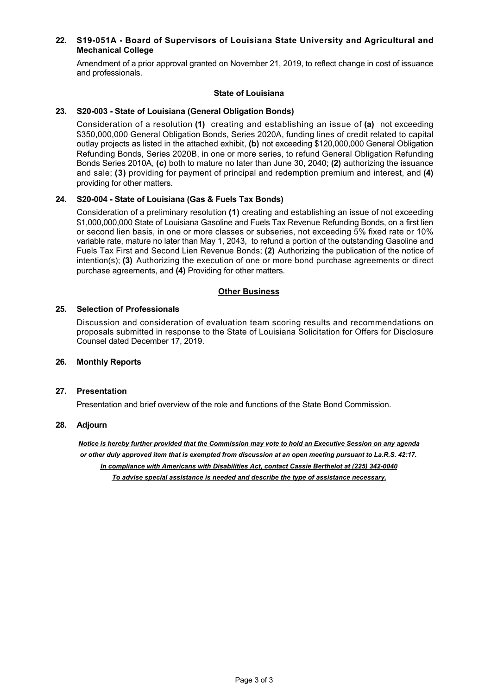## 22. S19-051A - Board of Supervisors of Louisiana State University and Agricultural and **Mechanical College**

Amendment of a prior approval granted on November 21, 2019, to reflect change in cost of issuance and professionals.

### **State of Louisiana**

### 23. S20-003 - State of Louisiana (General Obligation Bonds)

Consideration of a resolution **(1)** creating and establishing an issue of **(a)** not exceeding \$350,000,000 General Obligation Bonds, Series 2020A, funding lines of credit related to capital outlay projects as listed in the attached exhibit, **(b)** not exceeding \$120,000,000 General Obligation Refunding Bonds, Series 2020B, in one or more series, to refund General Obligation Refunding Bonds Series 2010A, **(c)** both to mature no later than June 30, 2040; **(2)** authorizing the issuance and sale; **(3)** providing for payment of principal and redemption premium and interest, and **(4)** providing for other matters.

### 24. S20-004 - State of Louisiana (Gas & Fuels Tax Bonds)

Consideration of a preliminary resolution **(1)** creating and establishing an issue of not exceeding \$1,000,000,000 State of Louisiana Gasoline and Fuels Tax Revenue Refunding Bonds, on a first lien or second lien basis, in one or more classes or subseries, not exceeding 5% fixed rate or 10% variable rate, mature no later than May 1, 2043, to refund a portion of the outstanding Gasoline and Fuels Tax First and Second Lien Revenue Bonds; **(2)** Authorizing the publication of the notice of intention(s); **(3)** Authorizing the execution of one or more bond purchase agreements or direct purchase agreements, and **(4)** Providing for other matters.

## **Other Business**

### **25. Selection of Professionals**

Discussion and consideration of evaluation team scoring results and recommendations on proposals submitted in response to the State of Louisiana Solicitation for Offers for Disclosure Counsel dated December 17, 2019.

### **26. Monthly Reports**

#### **27. Presentation**

Presentation and brief overview of the role and functions of the State Bond Commission.

#### **28. Adjourn**

*Notice is hereby further provided that the Commission may vote to hold an Executive Session on any agenda or other duly approved item that is exempted from discussion at an open meeting pursuant to La.R.S. 42:17. In compliance with Americans with Disabilities Act, contact Cassie Berthelot at (225) 3420040 To advise special assistance is needed and describe the type of assistance necessary.*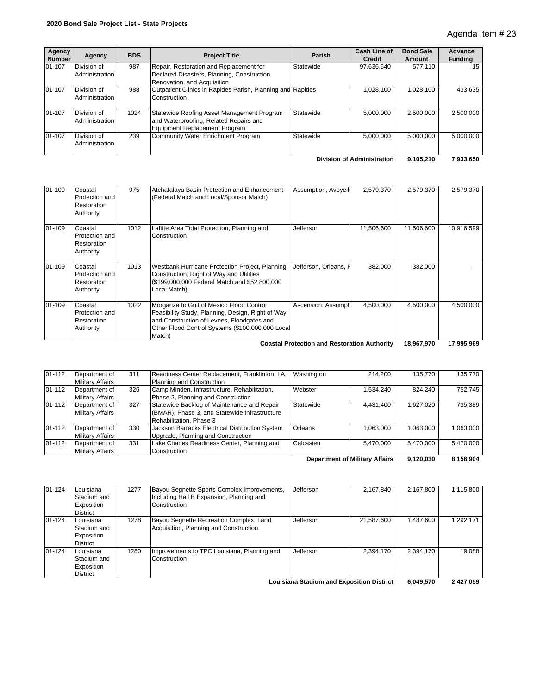| Agency<br><b>Number</b>                                     | Agency                        | <b>BDS</b> | <b>Project Title</b>                                                                                                  | Parish    | Cash Line of<br><b>Credit</b> | <b>Bond Sale</b><br>Amount | Advance<br><b>Funding</b> |
|-------------------------------------------------------------|-------------------------------|------------|-----------------------------------------------------------------------------------------------------------------------|-----------|-------------------------------|----------------------------|---------------------------|
| 01-107                                                      | Division of<br>Administration | 987        | Repair, Restoration and Replacement for<br>Declared Disasters, Planning, Construction,<br>Renovation, and Acquisition | Statewide | 97,636,640                    | 577.110                    | 15                        |
| 01-107                                                      | Division of<br>Administration | 988        | Outpatient Clinics in Rapides Parish, Planning and Rapides<br>Construction                                            |           | 1,028,100                     | 1,028,100                  | 433,635                   |
| 01-107                                                      | Division of<br>Administration | 1024       | Statewide Roofing Asset Management Program<br>and Waterproofing, Related Repairs and<br>Equipment Replacement Program | Statewide | 5.000.000                     | 2.500.000                  | 2,500,000                 |
| 01-107                                                      | Division of<br>Administration | 239        | Community Water Enrichment Program                                                                                    | Statewide | 5.000.000                     | 5.000.000                  | 5.000.000                 |
| <b>Division of Administration</b><br>7,933,650<br>9.105.210 |                               |            |                                                                                                                       |           |                               |                            |                           |

| $01-109$ | Coastal<br>Protection and<br>Restoration<br>Authority | 975  | Atchafalaya Basin Protection and Enhancement<br>(Federal Match and Local/Sponsor Match)                                                                                                                   | Assumption, Avoyell   | 2,579,370  | 2,579,370  | 2,579,370  |
|----------|-------------------------------------------------------|------|-----------------------------------------------------------------------------------------------------------------------------------------------------------------------------------------------------------|-----------------------|------------|------------|------------|
| 01-109   | Coastal<br>Protection and<br>Restoration<br>Authority | 1012 | Lafitte Area Tidal Protection, Planning and<br>Construction                                                                                                                                               | Jefferson             | 11,506,600 | 11,506,600 | 10,916,599 |
| 01-109   | Coastal<br>Protection and<br>Restoration<br>Authority | 1013 | Westbank Hurricane Protection Project, Planning,<br>Construction, Right of Way and Utilities<br>(\$199,000,000 Federal Match and \$52,800,000<br>Local Match)                                             | Jefferson, Orleans, F | 382.000    | 382,000    |            |
| 01-109   | Coastal<br>Protection and<br>Restoration<br>Authority | 1022 | Morganza to Gulf of Mexico Flood Control<br>Feasibility Study, Planning, Design, Right of Way<br>and Construction of Levees, Floodgates and<br>Other Flood Control Systems (\$100,000,000 Local<br>Match) | Ascension, Assumpt    | 4,500,000  | 4,500,000  | 4,500,000  |

 **17,995,969 18,967,970 Coastal Protection and Restoration Authority**

| 01-112                                | Department of<br><b>Military Affairs</b> | 311 | Readiness Center Replacement, Franklinton, LA,<br>Planning and Construction                                             | Washington | 214.200   | 135.770   | 135.770   |
|---------------------------------------|------------------------------------------|-----|-------------------------------------------------------------------------------------------------------------------------|------------|-----------|-----------|-----------|
| $01 - 112$                            | Department of<br><b>Military Affairs</b> | 326 | Camp Minden, Infrastructure, Rehabilitation,<br>Phase 2, Planning and Construction                                      | Webster    | 1,534,240 | 824.240   | 752.745   |
| 01-112                                | Department of<br><b>Military Affairs</b> | 327 | Statewide Backlog of Maintenance and Repair<br>(BMAR), Phase 3, and Statewide Infrastructure<br>Rehabilitation, Phase 3 | Statewide  | 4.431.400 | 1.627.020 | 735.389   |
| $01 - 112$                            | Department of<br><b>Military Affairs</b> | 330 | Jackson Barracks Electrical Distribution System<br>Upgrade, Planning and Construction                                   | Orleans    | 1.063.000 | 1.063.000 | 1,063,000 |
| $01 - 112$                            | Department of<br><b>Military Affairs</b> | 331 | Lake Charles Readiness Center, Planning and<br>Construction                                                             | Calcasieu  | 5.470.000 | 5.470.000 | 5,470,000 |
| <b>Department of Military Affairs</b> |                                          |     |                                                                                                                         |            |           | 9.120.030 | 8,156,904 |

| $01 - 124$                                | Louisiana<br>Stadium and<br>Exposition<br><b>District</b> | 1277 | Bayou Segnette Sports Complex Improvements,<br>Including Hall B Expansion, Planning and<br>Construction | Jefferson | 2,167,840  | 2,167,800 | 1,115,800 |
|-------------------------------------------|-----------------------------------------------------------|------|---------------------------------------------------------------------------------------------------------|-----------|------------|-----------|-----------|
| $01 - 124$                                | Louisiana<br>Stadium and<br>Exposition<br><b>District</b> | 1278 | Bayou Segnette Recreation Complex, Land<br>Acquisition, Planning and Construction                       | Jefferson | 21,587,600 | 1,487,600 | 1,292,171 |
| $01 - 124$                                | Louisiana<br>Stadium and<br>Exposition<br><b>District</b> | 1280 | Improvements to TPC Louisiana, Planning and<br>Construction                                             | Jefferson | 2,394,170  | 2.394.170 | 19.088    |
| Louisiana Stadium and Exposition District |                                                           |      |                                                                                                         |           |            | 6,049,570 | 2,427,059 |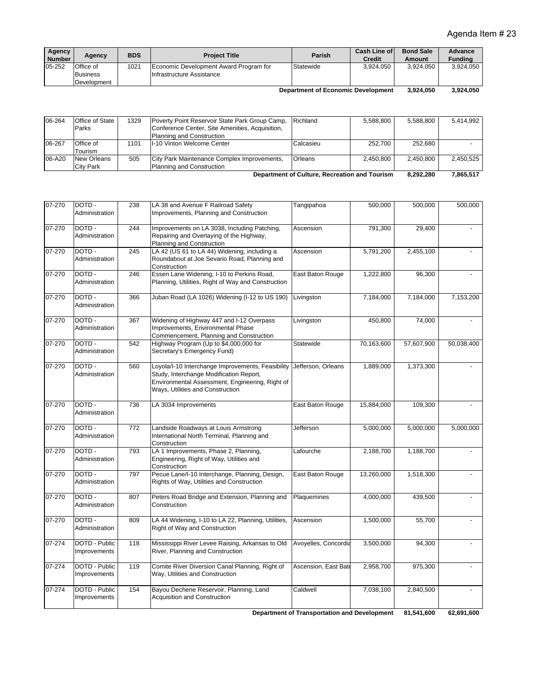| Agency<br>Agency<br><b>Number</b>                     | <b>BDS</b> | <b>Project Title</b>                                                | Parish    | Cash Line of<br>Credit | <b>Bond Sale</b><br>Amount | Advance<br><b>Fundina</b> |
|-------------------------------------------------------|------------|---------------------------------------------------------------------|-----------|------------------------|----------------------------|---------------------------|
| Office of<br>05-252<br><b>Business</b><br>Development | 1021       | Economic Development Award Program for<br>Infrastructure Assistance | Statewide | 3.924.050              | 3.924.050                  | 3.924.050                 |

 **3,924,050 3,924,050 Department of Economic Development**

| 06-264                                        | Office of State  | 1329 | Poverty Point Reservoir State Park Group Camp,  | Richland  | 5.588.800 | 5.588.800 | 5.414.992 |
|-----------------------------------------------|------------------|------|-------------------------------------------------|-----------|-----------|-----------|-----------|
|                                               | Parks            |      | Conference Center, Site Amenities, Acquisition, |           |           |           |           |
|                                               |                  |      | Planning and Construction                       |           |           |           |           |
| 06-267                                        | Office of        | 1101 | II-10 Vinton Welcome Center                     | Calcasieu | 252.700   | 252.680   |           |
|                                               | Tourism          |      |                                                 |           |           |           |           |
| 06-A20                                        | New Orleans      | 505  | City Park Maintenance Complex Improvements,     | Orleans   | 2.450.800 | 2.450.800 | 2.450.525 |
|                                               | <b>City Park</b> |      | Planning and Construction                       |           |           |           |           |
| Department of Culture, Recreation and Tourism |                  |      |                                                 |           | 8.292.280 | 7,865,517 |           |

| 07-270     | DOTD-<br>Administration       | 238 | LA 38 and Avenue F Railroad Safety<br>Improvements, Planning and Construction                                                                                                       | Tangipahoa           | 500,000    | 500,000    | 500,000    |
|------------|-------------------------------|-----|-------------------------------------------------------------------------------------------------------------------------------------------------------------------------------------|----------------------|------------|------------|------------|
| $07 - 270$ | DOTD-<br>Administration       | 244 | Improvements on LA 3038, Including Patching,<br>Repairing and Overlaying of the Highway,<br>Planning and Construction                                                               | Ascension            | 791,300    | 29,400     |            |
| 07-270     | DOTD-<br>Administration       | 245 | LA 42 (US 61 to LA 44) Widening, including a<br>Roundabout at Joe Sevario Road, Planning and<br>Construction                                                                        | Ascension            | 5,791,200  | 2,455,100  |            |
| $07 - 270$ | DOTD-<br>Administration       | 246 | Essen Lane Widening, I-10 to Perkins Road,<br>Planning, Utilities, Right of Way and Construction                                                                                    | East Baton Rouge     | 1,222,800  | 96,300     |            |
| $07 - 270$ | DOTD-<br>Administration       | 366 | Juban Road (LA 1026) Widening (I-12 to US 190)                                                                                                                                      | Livingston           | 7,184,000  | 7,184,000  | 7,153,200  |
| 07-270     | DOTD-<br>Administration       | 367 | Widening of Highway 447 and I-12 Overpass<br>Improvements, Environmental Phase<br>Commencement, Planning and Construction                                                           | Livingston           | 450,800    | 74,000     |            |
| 07-270     | DOTD-<br>Administration       | 542 | Highway Program (Up to \$4,000,000 for<br>Secretary's Emergency Fund)                                                                                                               | Statewide            | 70,163,600 | 57,607,900 | 50,038,400 |
| 07-270     | DOTD-<br>Administration       | 560 | Loyola/I-10 Interchange Improvements, Feasibility<br>Study, Interchange Modification Report,<br>Environmental Assessment, Engineering, Right of<br>Ways, Utilities and Construction | Jefferson, Orleans   | 1,889,000  | 1,373,300  |            |
| 07-270     | DOTD-<br>Administration       | 736 | LA 3034 Improvements                                                                                                                                                                | East Baton Rouge     | 15,884,000 | 109,300    |            |
| 07-270     | DOTD-<br>Administration       | 772 | Landside Roadways at Louis Armstrong<br>International North Terminal, Planning and<br>Construction                                                                                  | Jefferson            | 5,000,000  | 5,000,000  | 5,000,000  |
| 07-270     | DOTD-<br>Administration       | 793 | LA 1 Improvements, Phase 2, Planning,<br>Engineering, Right of Way, Utilities and<br>Construction                                                                                   | Lafourche            | 2,188,700  | 1,188,700  |            |
| 07-270     | DOTD-<br>Administration       | 797 | Pecue Lane/I-10 Interchange, Planning, Design,<br>Rights of Way, Utilities and Construction                                                                                         | East Baton Rouge     | 13,260,000 | 1,518,300  |            |
| 07-270     | DOTD-<br>Administration       | 807 | Peters Road Bridge and Extension, Planning and<br>Construction                                                                                                                      | Plaquemines          | 4,000,000  | 439,500    |            |
| 07-270     | DOTD-<br>Administration       | 809 | LA 44 Widening, I-10 to LA 22, Planning, Utilities,<br>Right of Way and Construction                                                                                                | Ascension            | 1,500,000  | 55,700     |            |
| 07-274     | DOTD - Public<br>Improvements | 118 | Mississippi River Levee Raising, Arkansas to Old<br>River, Planning and Construction                                                                                                | Avoyelles, Concordia | 3,500,000  | 94,300     |            |
| 07-274     | DOTD - Public<br>Improvements | 119 | Comite River Diversion Canal Planning, Right of<br>Way, Utilities and Construction                                                                                                  | Ascension, East Bate | 2,958,700  | 975,300    |            |
| 07-274     | DOTD - Public<br>Improvements | 154 | Bayou Dechene Reservoir, Planning, Land<br><b>Acquisition and Construction</b>                                                                                                      | Caldwell             | 7,038,100  | 2,840,500  |            |

 **62,691,600 81,541,600 Department of Transportation and Development**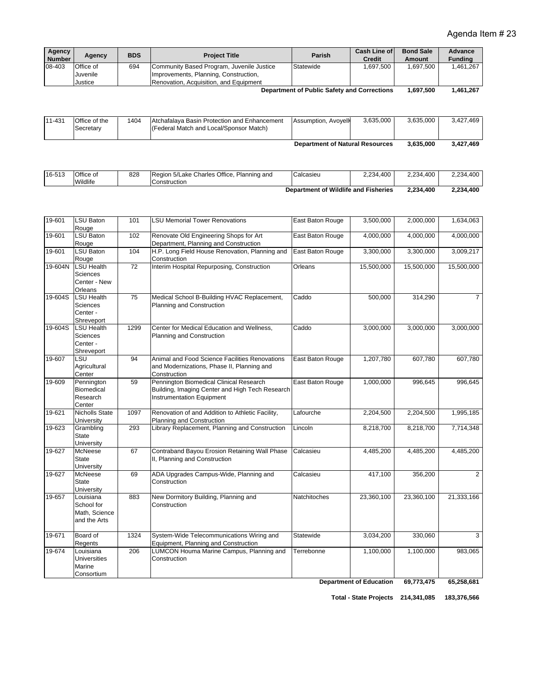| Agency<br><b>Number</b>                     | Agency           | <b>BDS</b> | <b>Project Title</b>                      | Parish    | Cash Line of<br><b>Credit</b> | <b>Bond Sale</b><br>Amount | Advance<br><b>Funding</b> |
|---------------------------------------------|------------------|------------|-------------------------------------------|-----------|-------------------------------|----------------------------|---------------------------|
| 08-403                                      | <b>Office of</b> | 694        | Community Based Program, Juvenile Justice | Statewide | 1.697.500                     | .697.500                   | 1.461.267                 |
|                                             | Juvenile         |            | Improvements, Planning, Construction,     |           |                               |                            |                           |
|                                             | Justice          |            | Renovation, Acquisition, and Equipment    |           |                               |                            |                           |
| Department of Public Safety and Corrections |                  |            |                                           |           | 1.697.500                     | 1.461.267                  |                           |

| Department of Public Safety and Corrections | 1,697,500 |
|---------------------------------------------|-----------|
|---------------------------------------------|-----------|

| 11-431                                 | Office of the<br>Secretary | 1404 | Atchafalava Basin Protection and Enhancement<br>(Federal Match and Local/Sponsor Match) | Assumption, Avoyelle | 3.635.000 | 3.635.000 | 3.427.469 |
|----------------------------------------|----------------------------|------|-----------------------------------------------------------------------------------------|----------------------|-----------|-----------|-----------|
| <b>Department of Natural Resources</b> |                            |      |                                                                                         |                      | 3.635.000 | 3.427.469 |           |

16-513 Office of **Wildlife** 828 Region 5/Lake Charles Office, Planning and **Construction** Calcasieu 2,234,400 2,234,400 2,234,400

| Department of Wildlife and Fisheries | 2,234,400 | 2,234,400 |
|--------------------------------------|-----------|-----------|

| 19-601  | <b>LSU Baton</b><br>Rouge                                             | 101  | <b>LSU Memorial Tower Renovations</b>                                                                                          | East Baton Rouge | 3,500,000                                   | 2,000,000  | 1,634,063      |
|---------|-----------------------------------------------------------------------|------|--------------------------------------------------------------------------------------------------------------------------------|------------------|---------------------------------------------|------------|----------------|
| 19-601  | LSU Baton<br>Rouge                                                    | 102  | Renovate Old Engineering Shops for Art<br>Department, Planning and Construction                                                | East Baton Rouge | 4,000,000                                   | 4,000,000  | 4,000,000      |
| 19-601  | <b>LSU Baton</b><br>Rouge                                             | 104  | H.P. Long Field House Renovation, Planning and<br>Construction                                                                 | East Baton Rouge | 3,300,000                                   | 3,300,000  | 3,009,217      |
| 19-604N | 72<br><b>LSU Health</b><br><b>Sciences</b><br>Center - New<br>Orleans |      | Interim Hospital Repurposing, Construction                                                                                     | Orleans          | 15,500,000                                  | 15,500,000 | 15,500,000     |
| 19-604S | <b>LSU Health</b><br>Sciences<br>Center -<br>Shreveport               | 75   | Medical School B-Building HVAC Replacement,<br>Planning and Construction                                                       | Caddo            | 500,000                                     | 314,290    | $\overline{7}$ |
| 19-604S | <b>LSU Health</b><br><b>Sciences</b><br>Center -<br>Shreveport        | 1299 | Center for Medical Education and Wellness,<br>Planning and Construction                                                        | Caddo            | 3,000,000                                   | 3,000,000  | 3,000,000      |
| 19-607  | LSU<br>Agricultural<br>Center                                         | 94   | Animal and Food Science Facilities Renovations<br>and Modernizations, Phase II, Planning and<br>Construction                   | East Baton Rouge | 1,207,780                                   | 607,780    | 607,780        |
| 19-609  | Pennington<br>Biomedical<br>Research<br>Center                        | 59   | Pennington Biomedical Clinical Research<br>Building, Imaging Center and High Tech Research<br><b>Instrumentation Equipment</b> | East Baton Rouge | 1,000,000                                   | 996,645    | 996,645        |
| 19-621  | <b>Nicholls State</b><br>University                                   | 1097 | Renovation of and Addition to Athletic Facility,<br>Planning and Construction                                                  | Lafourche        | 2,204,500                                   | 2,204,500  | 1,995,185      |
| 19-623  | Grambling<br>State<br>University                                      | 293  | Library Replacement, Planning and Construction                                                                                 | Lincoln          | 8,218,700                                   | 8,218,700  | 7,714,348      |
| 19-627  | McNeese<br><b>State</b><br>University                                 | 67   | Contraband Bayou Erosion Retaining Wall Phase<br>II, Planning and Construction                                                 | Calcasieu        | 4,485,200                                   | 4,485,200  | 4,485,200      |
| 19-627  | McNeese<br><b>State</b><br>University                                 | 69   | ADA Upgrades Campus-Wide, Planning and<br>Construction                                                                         | Calcasieu        | 417,100                                     | 356,200    | $\overline{2}$ |
| 19-657  | Louisiana<br>School for<br>Math, Science<br>and the Arts              | 883  | New Dormitory Building, Planning and<br>Construction                                                                           | Natchitoches     | 23,360,100                                  | 23,360,100 | 21,333,166     |
| 19-671  | Board of<br>Regents                                                   | 1324 | System-Wide Telecommunications Wiring and<br>Equipment, Planning and Construction                                              | Statewide        | 3,034,200                                   | 330,060    | 3              |
| 19-674  | Louisiana<br><b>Universities</b><br>Marine<br>Consortium              | 206  | LUMCON Houma Marine Campus, Planning and<br>Construction                                                                       | Terrebonne       | 1,100,000<br><b>Department of Education</b> | 1,100,000  | 983,065        |
|         |                                                                       |      |                                                                                                                                |                  |                                             | 69,773,475 | 65,258,681     |

**Total - State Projects 183,376,566 214,341,085**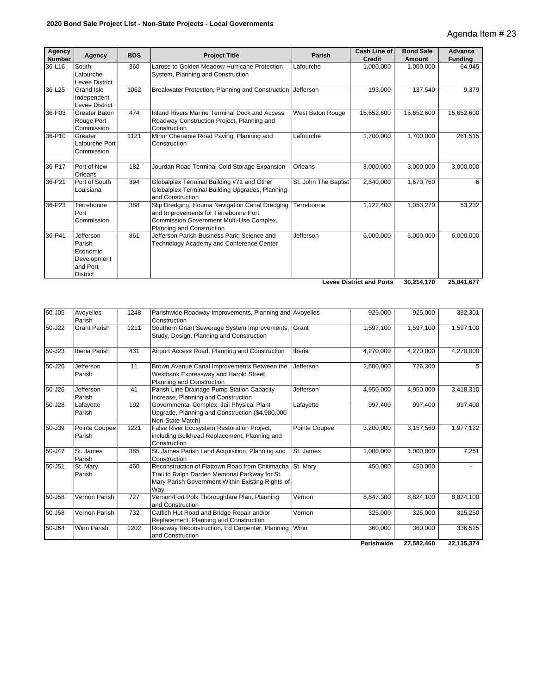| Agency<br><b>Number</b> | Agency                                                                        | <b>BDS</b> | <b>Project Title</b>                                                                                                                                            | Parish               | <b>Cash Line of</b><br><b>Credit</b> | <b>Bond Sale</b><br>Amount | <b>Advance</b><br><b>Funding</b> |
|-------------------------|-------------------------------------------------------------------------------|------------|-----------------------------------------------------------------------------------------------------------------------------------------------------------------|----------------------|--------------------------------------|----------------------------|----------------------------------|
| 36-L16                  | South<br>Lafourche<br>Levee District                                          | 360        | Larose to Golden Meadow Hurricane Protection<br>System, Planning and Construction                                                                               | Lafourche            | 1,000,000                            | 1,000,000                  | 64,945                           |
| 36-L25                  | <b>Grand Isle</b><br>Independent<br>Levee District                            | 1062       | Breakwater Protection, Planning and Construction                                                                                                                | Jefferson            | 193.000                              | 137,540                    | 9,379                            |
| 36-P03                  | <b>Greater Baton</b><br>Rouge Port<br>Commission                              | 474        | Inland Rivers Marine Terminal Dock and Access<br>Roadway Construction Project, Planning and<br>Construction                                                     | West Baton Rouge     | 15,652,600                           | 15,652,600                 | 15,652,600                       |
| 36-P10                  | Greater<br>Lafourche Port<br>Commission                                       | 1121       | Minor Cheramie Road Paving, Planning and<br>Construction                                                                                                        | Lafourche            | 1,700,000                            | 1,700,000                  | 261,515                          |
| 36-P17                  | Port of New<br>Orleans                                                        | 182        | Jourdan Road Terminal Cold Storage Expansion                                                                                                                    | Orleans              | 3,000,000                            | 3,000,000                  | 3,000,000                        |
| 36-P21                  | Port of South<br>Louisiana                                                    | 394        | Globalplex Terminal Building #71 and Other<br>Globalplex Terminal Building Upgrades, Planning<br>and Construction                                               | St. John The Baptist | 2,840,000                            | 1,670,760                  | 6                                |
| 36-P23                  | Terrebonne<br>Port<br>Commission                                              | 388        | Slip Dredging, Houma Navigation Canal Dredging<br>and Improvements for Terrebonne Port<br>Commission Government Multi-Use Complex,<br>Planning and Construction | Terrebonne           | 1,122,400                            | 1,053,270                  | 53,232                           |
| 36-P41                  | Jefferson<br>Parish<br>Economic<br>Development<br>and Port<br><b>District</b> | 861        | Jefferson Parish Business Park: Science and<br>Technology Academy and Conference Center                                                                         | Jefferson            | 6,000,000                            | 6,000,000                  | 6,000,000                        |
|                         |                                                                               |            |                                                                                                                                                                 |                      | <b>Levee District and Ports</b>      | 30.214.170                 | 25,041,677                       |

| 50-J05 | Avoyelles<br>Parish     | 1248 | Parishwide Roadway Improvements, Planning and Avoyelles<br>Construction                                                                                       |               | 925,000    | 925,000    | 392,301    |
|--------|-------------------------|------|---------------------------------------------------------------------------------------------------------------------------------------------------------------|---------------|------------|------------|------------|
| 50-J22 | <b>Grant Parish</b>     | 1211 | Southern Grant Sewerage System Improvements,<br>Study, Design, Planning and Construction                                                                      | Grant         | 1,597,100  | 1,597,100  | 1,597,100  |
| 50-J23 | Iberia Parish           | 431  | Airport Access Road, Planning and Construction                                                                                                                | Iberia        | 4,270,000  | 4,270,000  | 4,270,000  |
| 50-J26 | Jefferson<br>Parish     | 11   | Brown Avenue Canal Improvements Between the<br>Westbank Expressway and Harold Street,<br>Planning and Construction                                            | Jefferson     | 2,600,000  | 726,300    | 5          |
| 50-J26 | Jefferson<br>Parish     | 41   | Parish Line Drainage Pump Station Capacity<br>Increase, Planning and Construction                                                                             | Jefferson     | 4,950,000  | 4,950,000  | 3,418,310  |
| 50-J28 | Lafayette<br>Parish     | 192  | Governmental Complex, Jail Physical Plant<br>Upgrade, Planning and Construction (\$4,980,000<br>Non-State Match)                                              | Lafayette     | 997.400    | 997,400    | 997,400    |
| 50-J39 | Pointe Coupee<br>Parish | 1221 | False River Ecosystem Restoration Project,<br>including Bulkhead Replacement, Planning and<br>Construction                                                    | Pointe Coupee | 3,200,000  | 3,157,560  | 1,977,122  |
| 50-J47 | St. James<br>Parish     | 385  | St. James Parish Land Acquisition, Planning and<br>Construction                                                                                               | St. James     | 1,000,000  | 1,000,000  | 7,261      |
| 50-J51 | St. Mary<br>Parish      | 460  | Reconstruction of Flattown Road from Chitimacha<br>Trail to Ralph Darden Memorial Parkway for St.<br>Mary Parish Government Within Existing Rights-of-<br>Wav | St. Marv      | 450,000    | 450,000    |            |
| 50-J58 | Vernon Parish           | 727  | Vernon/Fort Polk Thoroughfare Plan, Planning<br>and Construction                                                                                              | Vernon        | 8,847,300  | 8,824,100  | 8,824,100  |
| 50-J58 | Vernon Parish           | 732  | Catfish Hut Road and Bridge Repair and/or<br>Replacement, Planning and Construction                                                                           | Vernon        | 325,000    | 325,000    | 315,250    |
| 50-J64 | <b>Winn Parish</b>      | 1202 | Roadway Reconstruction, Ed Carpenter, Planning<br>and Construction                                                                                            | Winn          | 360,000    | 360,000    | 336,525    |
|        |                         |      |                                                                                                                                                               |               | Parishwide | 27,582,460 | 22,135,374 |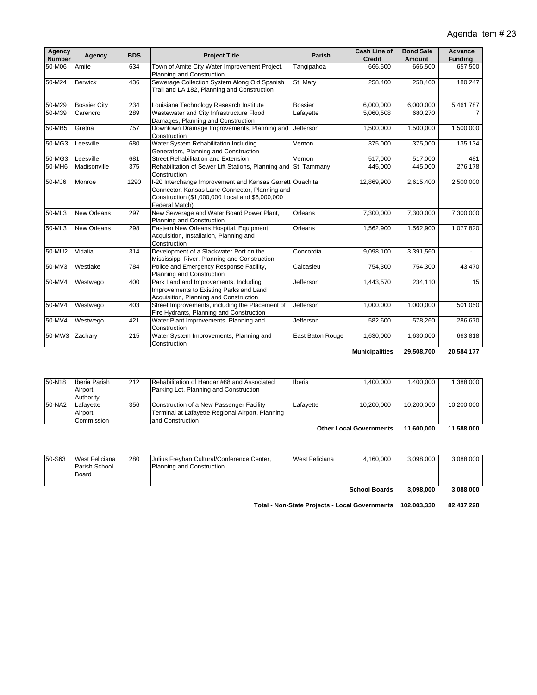| Agency<br><b>Number</b> | Agency              | <b>BDS</b> | <b>Project Title</b>                                                                                                                                                            | Parish           | <b>Cash Line of</b><br><b>Credit</b> | <b>Bond Sale</b><br>Amount | Advance<br><b>Funding</b> |
|-------------------------|---------------------|------------|---------------------------------------------------------------------------------------------------------------------------------------------------------------------------------|------------------|--------------------------------------|----------------------------|---------------------------|
| 50-M06                  | Amite               | 634        | Town of Amite City Water Improvement Project,<br>Planning and Construction                                                                                                      | Tangipahoa       | 666,500                              | 666,500                    | 657,500                   |
| 50-M24                  | <b>Berwick</b>      | 436        | Sewerage Collection System Along Old Spanish<br>Trail and LA 182, Planning and Construction                                                                                     | St. Mary         | 258,400                              | 258,400                    | 180,247                   |
| 50-M29                  | <b>Bossier City</b> | 234        | Louisiana Technology Research Institute                                                                                                                                         | <b>Bossier</b>   | 6,000,000                            | 6,000,000                  | 5,461,787                 |
| 50-M39                  | Carencro            | 289        | Wastewater and City Infrastructure Flood<br>Damages, Planning and Construction                                                                                                  | Lafayette        | 5,060,508                            | 680,270                    |                           |
| 50-MB5                  | Gretna              | 757        | Downtown Drainage Improvements, Planning and<br>Construction                                                                                                                    | Jefferson        | 1,500,000                            | 1,500,000                  | 1,500,000                 |
| 50-MG3                  | Leesville           | 680        | Water System Rehabilitation Including<br>Generators, Planning and Construction                                                                                                  | Vernon           | 375,000                              | 375,000                    | 135,134                   |
| 50-MG3                  | Leesville           | 681        | <b>Street Rehabilitation and Extension</b>                                                                                                                                      | Vernon           | 517,000                              | 517,000                    | 481                       |
| 50-MH6                  | Madisonville        | 375        | Rehabilitation of Sewer Lift Stations, Planning and<br>Construction                                                                                                             | St. Tammany      | 445,000                              | 445,000                    | 276,178                   |
| 50-MJ6                  | Monroe              | 1290       | I-20 Interchange Improvement and Kansas Garrett Ouachita<br>Connector, Kansas Lane Connector, Planning and<br>Construction (\$1,000,000 Local and \$6,000,000<br>Federal Match) |                  | 12,869,900                           | 2,615,400                  | 2,500,000                 |
| 50-ML3                  | <b>New Orleans</b>  | 297        | New Sewerage and Water Board Power Plant,<br>Planning and Construction                                                                                                          | Orleans          | 7,300,000                            | 7,300,000                  | 7,300,000                 |
| 50-ML3                  | <b>New Orleans</b>  | 298        | Eastern New Orleans Hospital, Equipment,<br>Acquisition, Installation, Planning and<br>Construction                                                                             | Orleans          | 1,562,900                            | 1,562,900                  | 1,077,820                 |
| 50-MU2                  | Vidalia             | 314        | Development of a Slackwater Port on the<br>Mississippi River, Planning and Construction                                                                                         | Concordia        | 9,098,100                            | 3,391,560                  | $\sim$                    |
| 50-MV3                  | Westlake            | 784        | Police and Emergency Response Facility,<br>Planning and Construction                                                                                                            | Calcasieu        | 754,300                              | 754,300                    | 43,470                    |
| 50-MV4                  | Westwego            | 400        | Park Land and Improvements, Including<br>Improvements to Existing Parks and Land<br>Acquisition, Planning and Construction                                                      | Jefferson        | 1,443,570                            | 234,110                    | 15                        |
| 50-MV4                  | Westwego            | 403        | Street Improvements, including the Placement of<br>Fire Hydrants, Planning and Construction                                                                                     | Jefferson        | 1,000,000                            | 1,000,000                  | 501,050                   |
| 50-MV4                  | Westwego            | 421        | Water Plant Improvements, Planning and<br>Construction                                                                                                                          | Jefferson        | 582,600                              | 578,260                    | 286,670                   |
| 50-MW3                  | Zachary             | 215        | Water System Improvements, Planning and<br>Construction                                                                                                                         | East Baton Rouge | 1,630,000                            | 1,630,000                  | 663,818                   |
|                         |                     |            |                                                                                                                                                                                 |                  | <b>Municipalities</b>                | 29,508,700                 | 20,584,177                |

| <b>Municipalities</b> | 29,508,700 |
|-----------------------|------------|
|-----------------------|------------|

| 50-N18 | Iberia Parish | 212 | Rehabilitation of Hangar #88 and Associated      | Iberia    | 1.400.000                                                                                                                                                                                                                      | .400.000                | 1.388.000    |
|--------|---------------|-----|--------------------------------------------------|-----------|--------------------------------------------------------------------------------------------------------------------------------------------------------------------------------------------------------------------------------|-------------------------|--------------|
|        | Airport       |     | Parking Lot, Planning and Construction           |           |                                                                                                                                                                                                                                |                         |              |
|        | Authority     |     |                                                  |           |                                                                                                                                                                                                                                |                         |              |
| 50-NA2 | Lafayette     | 356 | Construction of a New Passenger Facility         | Lafavette | 10.200.000                                                                                                                                                                                                                     | 10.200.000              | 10,200,000   |
|        | Airport       |     | Terminal at Lafayette Regional Airport, Planning |           |                                                                                                                                                                                                                                |                         |              |
|        | Commission    |     | and Construction                                 |           |                                                                                                                                                                                                                                |                         |              |
|        |               |     |                                                  |           | $2.4$ $-1.7$ $-1.2$ $-1.2$ $-1.2$ $-1.2$ $-1.2$ $-1.2$ $-1.2$ $-1.2$ $-1.2$ $-1.2$ $-1.2$ $-1.2$ $-1.2$ $-1.2$ $-1.2$ $-1.2$ $-1.2$ $-1.2$ $-1.2$ $-1.2$ $-1.2$ $-1.2$ $-1.2$ $-1.2$ $-1.2$ $-1.2$ $-1.2$ $-1.2$ $-1.2$ $-1.2$ | $\overline{11}$ and and | $11$ FAA AAA |

 **11,588,000 11,600,000 Other Local Governments**

| 50-S63 | West Feliciana<br>Parish School<br>Board | 280 | Julius Freyhan Cultural/Conference Center,<br><b>Planning and Construction</b> | West Feliciana | 4.160.000            | 3.098.000 | 3.088.000 |
|--------|------------------------------------------|-----|--------------------------------------------------------------------------------|----------------|----------------------|-----------|-----------|
|        |                                          |     |                                                                                |                | <b>School Boards</b> | 3.098.000 | 3.088.000 |

**Total - Non-State Projects - Local Governments 82,437,228 102,003,330**